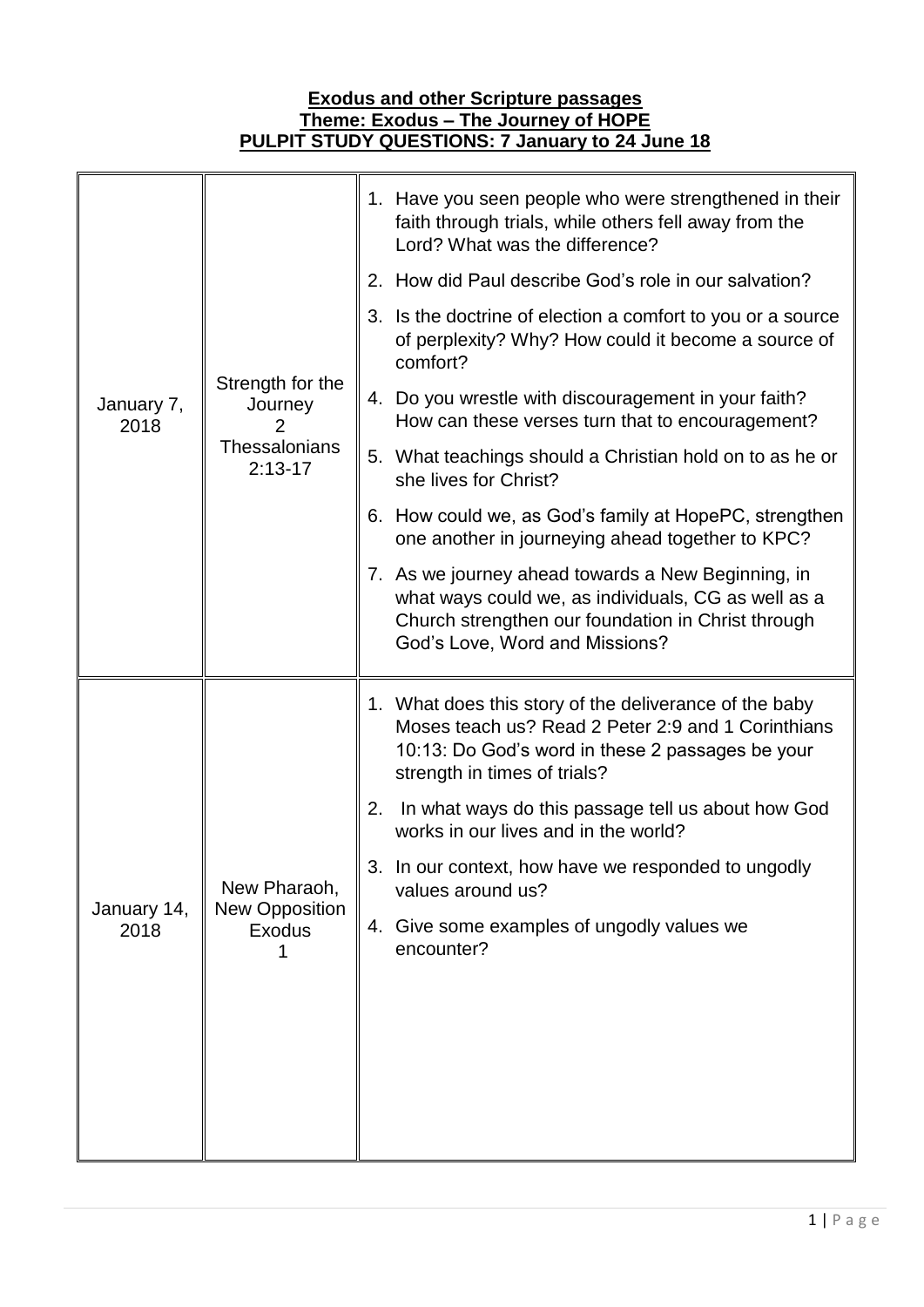## **Theme: Exodus – The Journey of HOPE PULPIT STUDY QUESTIONS: 7 January to 24 June 18** January 7, 2018 Strength for the **Journey** 2 **Thessalonians** 2:13-17 1. Have you seen people who were strengthened in their faith through trials, while others fell away from the Lord? What was the difference? 2. How did Paul describe God's role in our salvation? 3. Is the doctrine of election a comfort to you or a source of perplexity? Why? How could it become a source of comfort? 4. Do you wrestle with discouragement in your faith? How can these verses turn that to encouragement? 5. What teachings should a Christian hold on to as he or she lives for Christ? 6. How could we, as God's family at HopePC, strengthen one another in journeying ahead together to KPC? 7. As we journey ahead towards a New Beginning, in what ways could we, as individuals, CG as well as a Church strengthen our foundation in Christ through God's Love, Word and Missions? January 14, 2018 New Pharaoh, New Opposition Exodus 1 1. What does this story of the deliverance of the baby Moses teach us? Read 2 Peter 2:9 and 1 Corinthians 10:13: Do God's word in these 2 passages be your strength in times of trials? 2. In what ways do this passage tell us about how God works in our lives and in the world? 3. In our context, how have we responded to ungodly values around us? 4. Give some examples of ungodly values we encounter?

**Exodus and other Scripture passages**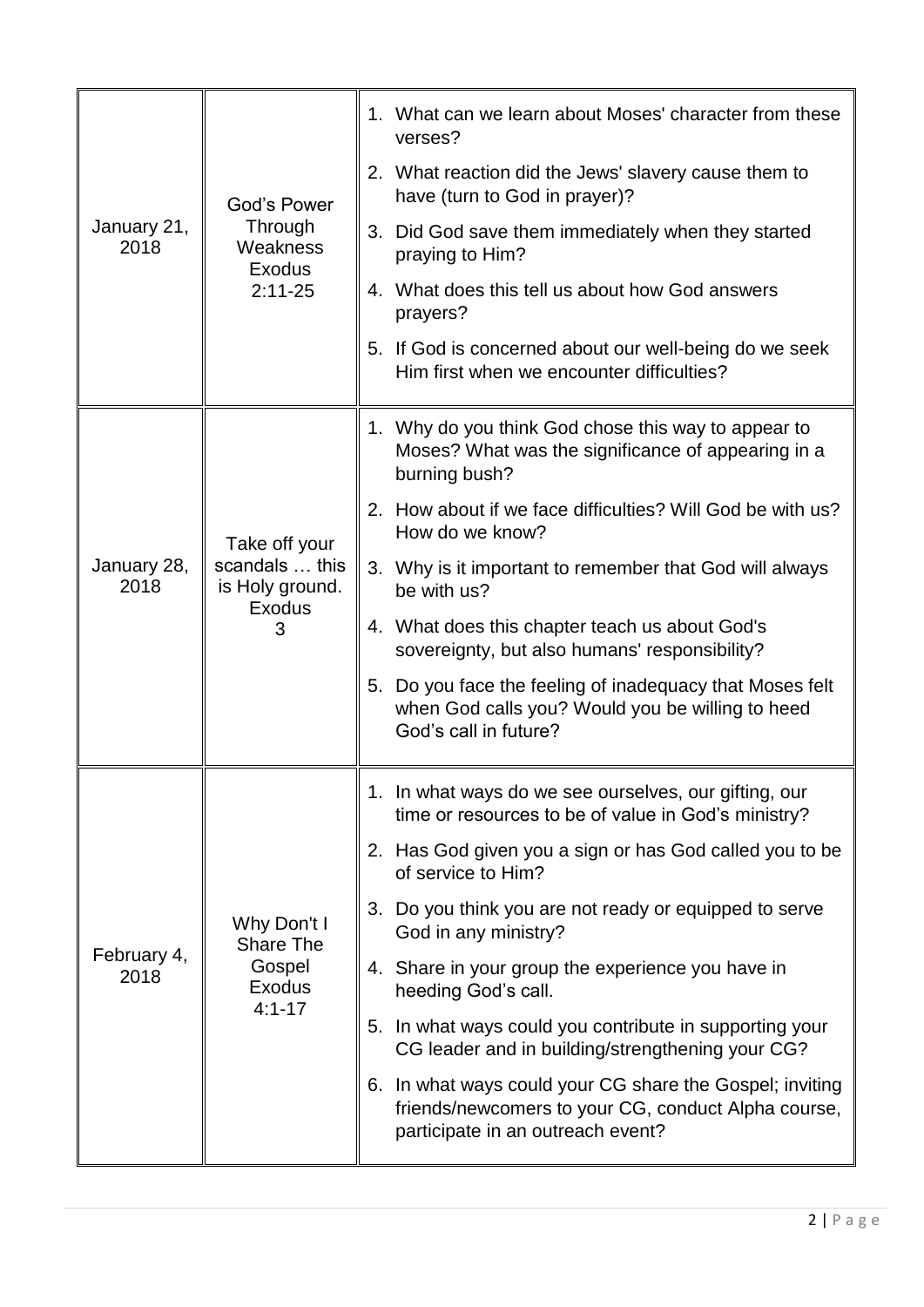| January 21,<br>2018 | God's Power<br>Through<br>Weakness<br><b>Exodus</b><br>$2:11 - 25$ | 1. What can we learn about Moses' character from these<br>verses?                                                                                    |
|---------------------|--------------------------------------------------------------------|------------------------------------------------------------------------------------------------------------------------------------------------------|
|                     |                                                                    | 2. What reaction did the Jews' slavery cause them to<br>have (turn to God in prayer)?                                                                |
|                     |                                                                    | 3. Did God save them immediately when they started<br>praying to Him?                                                                                |
|                     |                                                                    | 4. What does this tell us about how God answers<br>prayers?                                                                                          |
|                     |                                                                    | 5. If God is concerned about our well-being do we seek<br>Him first when we encounter difficulties?                                                  |
| January 28,<br>2018 | Take off your<br>scandals  this<br>is Holy ground.<br>Exodus<br>3  | 1. Why do you think God chose this way to appear to<br>Moses? What was the significance of appearing in a<br>burning bush?                           |
|                     |                                                                    | 2. How about if we face difficulties? Will God be with us?<br>How do we know?                                                                        |
|                     |                                                                    | 3. Why is it important to remember that God will always<br>be with us?                                                                               |
|                     |                                                                    | 4. What does this chapter teach us about God's<br>sovereignty, but also humans' responsibility?                                                      |
|                     |                                                                    | 5. Do you face the feeling of inadequacy that Moses felt<br>when God calls you? Would you be willing to heed<br>God's call in future?                |
| February 4,<br>2018 | Why Don't I<br>Share The<br>Gospel<br><b>Exodus</b><br>$4:1 - 17$  | 1. In what ways do we see ourselves, our gifting, our<br>time or resources to be of value in God's ministry?                                         |
|                     |                                                                    | 2. Has God given you a sign or has God called you to be<br>of service to Him?                                                                        |
|                     |                                                                    | 3. Do you think you are not ready or equipped to serve<br>God in any ministry?                                                                       |
|                     |                                                                    | 4. Share in your group the experience you have in<br>heeding God's call.                                                                             |
|                     |                                                                    | 5. In what ways could you contribute in supporting your<br>CG leader and in building/strengthening your CG?                                          |
|                     |                                                                    | 6. In what ways could your CG share the Gospel; inviting<br>friends/newcomers to your CG, conduct Alpha course,<br>participate in an outreach event? |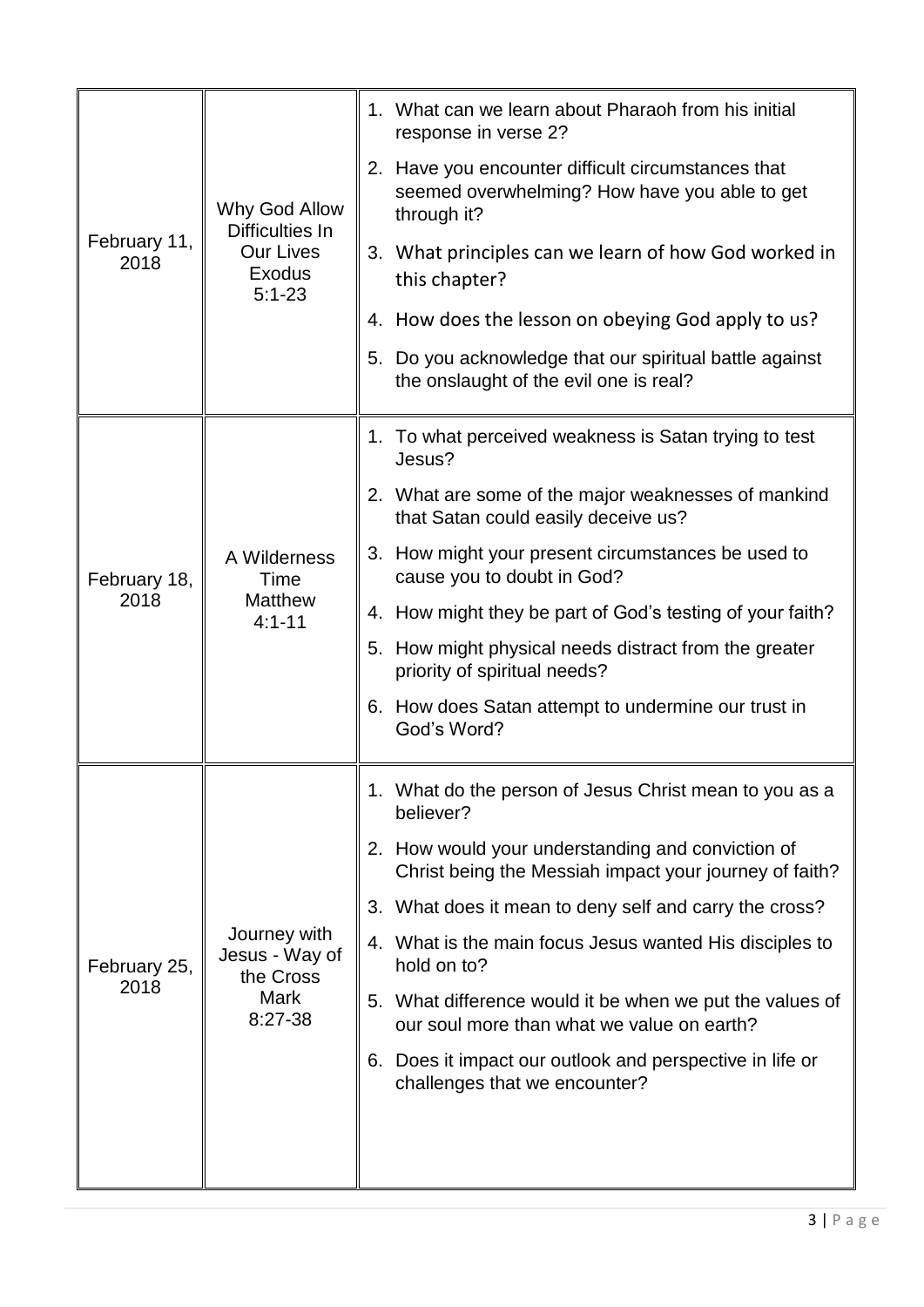| February 11,<br>2018 | Why God Allow<br>Difficulties In<br><b>Our Lives</b><br>Exodus<br>$5:1 - 23$ | 1. What can we learn about Pharaoh from his initial<br>response in verse 2?                                        |
|----------------------|------------------------------------------------------------------------------|--------------------------------------------------------------------------------------------------------------------|
|                      |                                                                              | 2. Have you encounter difficult circumstances that<br>seemed overwhelming? How have you able to get<br>through it? |
|                      |                                                                              | 3. What principles can we learn of how God worked in<br>this chapter?                                              |
|                      |                                                                              | 4. How does the lesson on obeying God apply to us?                                                                 |
|                      |                                                                              | 5. Do you acknowledge that our spiritual battle against<br>the onslaught of the evil one is real?                  |
|                      | A Wilderness<br>Time<br><b>Matthew</b><br>$4:1 - 11$                         | 1. To what perceived weakness is Satan trying to test<br>Jesus?                                                    |
|                      |                                                                              | 2. What are some of the major weaknesses of mankind<br>that Satan could easily deceive us?                         |
| February 18,         |                                                                              | 3. How might your present circumstances be used to<br>cause you to doubt in God?                                   |
| 2018                 |                                                                              | 4. How might they be part of God's testing of your faith?                                                          |
|                      |                                                                              | 5. How might physical needs distract from the greater<br>priority of spiritual needs?                              |
|                      |                                                                              | 6. How does Satan attempt to undermine our trust in<br>God's Word?                                                 |
|                      |                                                                              | 1. What do the person of Jesus Christ mean to you as a                                                             |
|                      | Journey with<br>Jesus - Way of<br>the Cross<br><b>Mark</b><br>$8:27-38$      | believer?                                                                                                          |
|                      |                                                                              | 2. How would your understanding and conviction of<br>Christ being the Messiah impact your journey of faith?        |
|                      |                                                                              | 3. What does it mean to deny self and carry the cross?                                                             |
| February 25,<br>2018 |                                                                              | 4. What is the main focus Jesus wanted His disciples to<br>hold on to?                                             |
|                      |                                                                              | 5. What difference would it be when we put the values of<br>our soul more than what we value on earth?             |
|                      |                                                                              | 6. Does it impact our outlook and perspective in life or<br>challenges that we encounter?                          |
|                      |                                                                              |                                                                                                                    |
|                      |                                                                              |                                                                                                                    |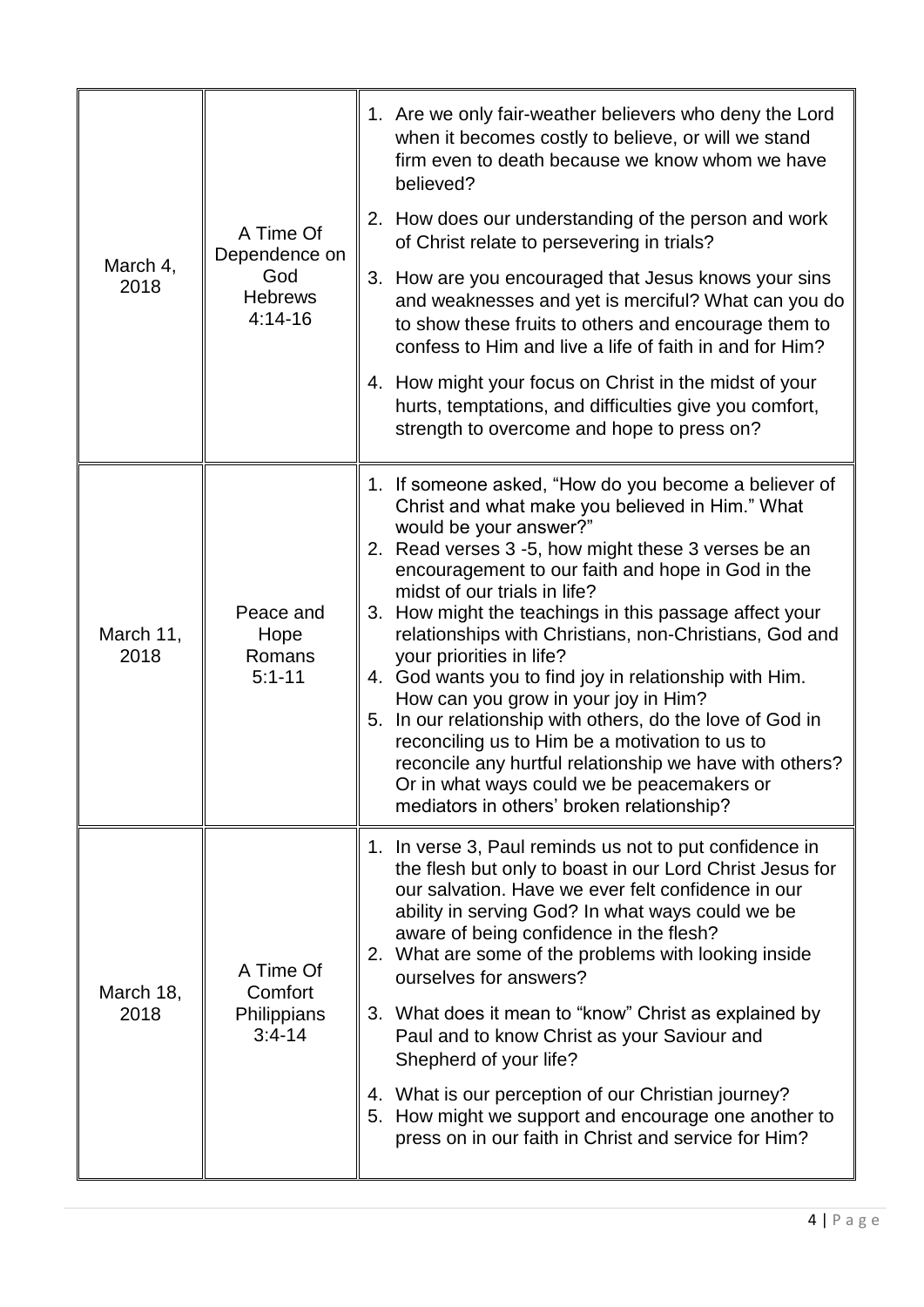| A Time Of<br>Dependence on<br>God<br><b>Hebrews</b><br>$4:14-16$ | 1. Are we only fair-weather believers who deny the Lord<br>when it becomes costly to believe, or will we stand<br>firm even to death because we know whom we have<br>believed?                                                                                                                                                                                                                                                                                                                                                                                                                                                                                                                                                                                                                        |
|------------------------------------------------------------------|-------------------------------------------------------------------------------------------------------------------------------------------------------------------------------------------------------------------------------------------------------------------------------------------------------------------------------------------------------------------------------------------------------------------------------------------------------------------------------------------------------------------------------------------------------------------------------------------------------------------------------------------------------------------------------------------------------------------------------------------------------------------------------------------------------|
|                                                                  | 2. How does our understanding of the person and work<br>of Christ relate to persevering in trials?                                                                                                                                                                                                                                                                                                                                                                                                                                                                                                                                                                                                                                                                                                    |
|                                                                  | 3. How are you encouraged that Jesus knows your sins<br>and weaknesses and yet is merciful? What can you do<br>to show these fruits to others and encourage them to<br>confess to Him and live a life of faith in and for Him?                                                                                                                                                                                                                                                                                                                                                                                                                                                                                                                                                                        |
|                                                                  | 4. How might your focus on Christ in the midst of your<br>hurts, temptations, and difficulties give you comfort,<br>strength to overcome and hope to press on?                                                                                                                                                                                                                                                                                                                                                                                                                                                                                                                                                                                                                                        |
| Peace and<br>Hope<br>Romans<br>$5:1 - 11$                        | 1. If someone asked, "How do you become a believer of<br>Christ and what make you believed in Him." What<br>would be your answer?"<br>2. Read verses 3 -5, how might these 3 verses be an<br>encouragement to our faith and hope in God in the<br>midst of our trials in life?<br>3. How might the teachings in this passage affect your<br>relationships with Christians, non-Christians, God and<br>your priorities in life?<br>4. God wants you to find joy in relationship with Him.<br>How can you grow in your joy in Him?<br>5. In our relationship with others, do the love of God in<br>reconciling us to Him be a motivation to us to<br>reconcile any hurtful relationship we have with others?<br>Or in what ways could we be peacemakers or<br>mediators in others' broken relationship? |
| A Time Of<br>Comfort<br>Philippians<br>$3:4-14$                  | 1. In verse 3, Paul reminds us not to put confidence in<br>the flesh but only to boast in our Lord Christ Jesus for<br>our salvation. Have we ever felt confidence in our<br>ability in serving God? In what ways could we be<br>aware of being confidence in the flesh?<br>2. What are some of the problems with looking inside<br>ourselves for answers?<br>3. What does it mean to "know" Christ as explained by<br>Paul and to know Christ as your Saviour and<br>Shepherd of your life?<br>4. What is our perception of our Christian journey?<br>5. How might we support and encourage one another to<br>press on in our faith in Christ and service for Him?                                                                                                                                   |
|                                                                  |                                                                                                                                                                                                                                                                                                                                                                                                                                                                                                                                                                                                                                                                                                                                                                                                       |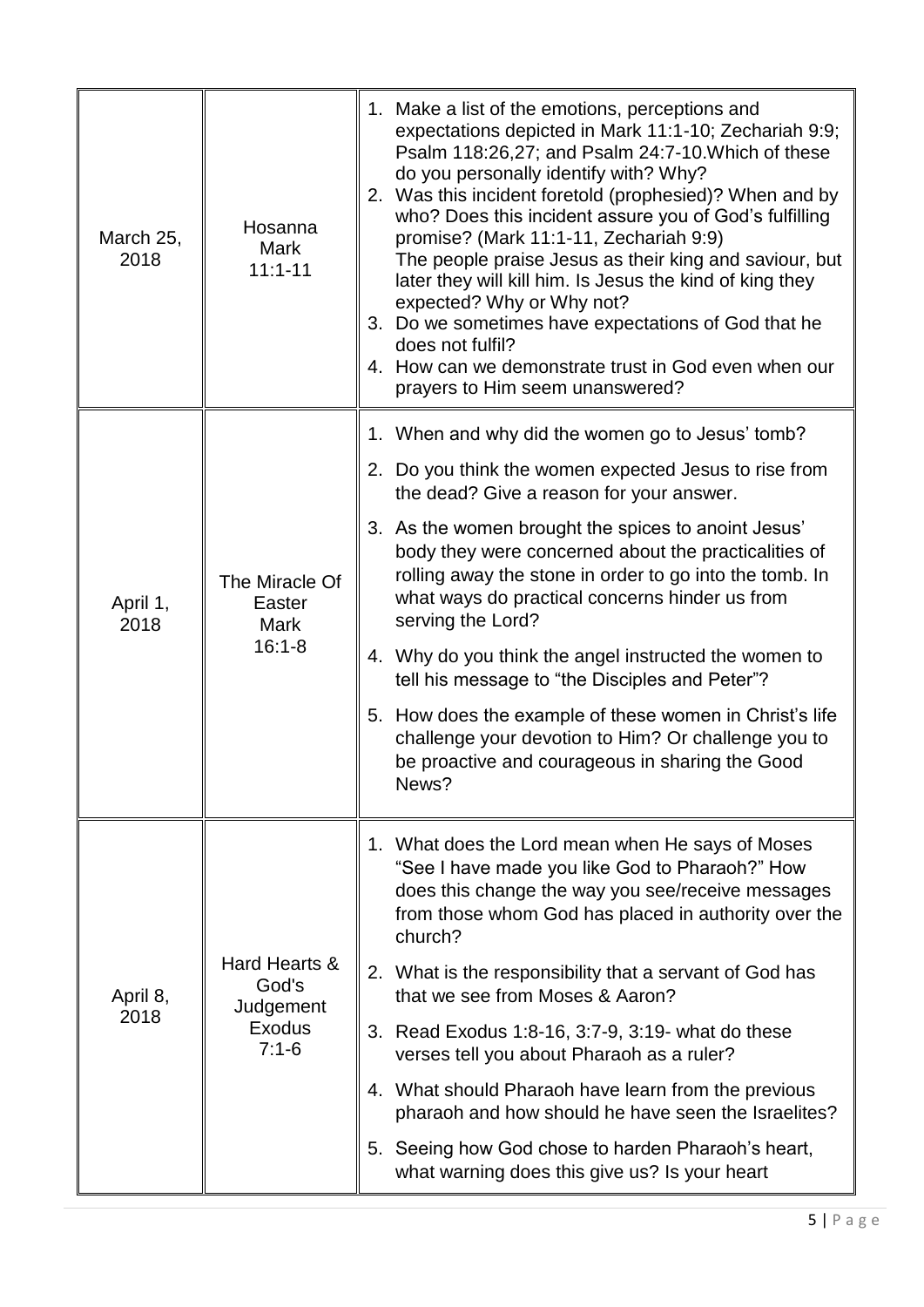| March 25,<br>2018 | Hosanna<br><b>Mark</b><br>$11:1 - 11$                           | 1. Make a list of the emotions, perceptions and<br>expectations depicted in Mark 11:1-10; Zechariah 9:9;<br>Psalm 118:26,27; and Psalm 24:7-10. Which of these<br>do you personally identify with? Why?<br>2. Was this incident foretold (prophesied)? When and by<br>who? Does this incident assure you of God's fulfilling<br>promise? (Mark 11:1-11, Zechariah 9:9)<br>The people praise Jesus as their king and saviour, but<br>later they will kill him. Is Jesus the kind of king they<br>expected? Why or Why not?<br>3. Do we sometimes have expectations of God that he<br>does not fulfil?<br>4. How can we demonstrate trust in God even when our<br>prayers to Him seem unanswered? |
|-------------------|-----------------------------------------------------------------|-------------------------------------------------------------------------------------------------------------------------------------------------------------------------------------------------------------------------------------------------------------------------------------------------------------------------------------------------------------------------------------------------------------------------------------------------------------------------------------------------------------------------------------------------------------------------------------------------------------------------------------------------------------------------------------------------|
|                   |                                                                 | 1. When and why did the women go to Jesus' tomb?                                                                                                                                                                                                                                                                                                                                                                                                                                                                                                                                                                                                                                                |
|                   | The Miracle Of<br>Easter<br>Mark<br>$16:1 - 8$                  | 2. Do you think the women expected Jesus to rise from<br>the dead? Give a reason for your answer.                                                                                                                                                                                                                                                                                                                                                                                                                                                                                                                                                                                               |
| April 1,<br>2018  |                                                                 | 3. As the women brought the spices to anoint Jesus'<br>body they were concerned about the practicalities of<br>rolling away the stone in order to go into the tomb. In<br>what ways do practical concerns hinder us from<br>serving the Lord?                                                                                                                                                                                                                                                                                                                                                                                                                                                   |
|                   |                                                                 | 4. Why do you think the angel instructed the women to<br>tell his message to "the Disciples and Peter"?                                                                                                                                                                                                                                                                                                                                                                                                                                                                                                                                                                                         |
|                   |                                                                 | 5. How does the example of these women in Christ's life<br>challenge your devotion to Him? Or challenge you to<br>be proactive and courageous in sharing the Good<br>News?                                                                                                                                                                                                                                                                                                                                                                                                                                                                                                                      |
| April 8,<br>2018  | Hard Hearts &<br>God's<br>Judgement<br><b>Exodus</b><br>$7:1-6$ | 1. What does the Lord mean when He says of Moses<br>"See I have made you like God to Pharaoh?" How<br>does this change the way you see/receive messages<br>from those whom God has placed in authority over the<br>church?                                                                                                                                                                                                                                                                                                                                                                                                                                                                      |
|                   |                                                                 | 2. What is the responsibility that a servant of God has<br>that we see from Moses & Aaron?                                                                                                                                                                                                                                                                                                                                                                                                                                                                                                                                                                                                      |
|                   |                                                                 | 3. Read Exodus 1:8-16, 3:7-9, 3:19- what do these<br>verses tell you about Pharaoh as a ruler?                                                                                                                                                                                                                                                                                                                                                                                                                                                                                                                                                                                                  |
|                   |                                                                 | 4. What should Pharaoh have learn from the previous<br>pharaoh and how should he have seen the Israelites?                                                                                                                                                                                                                                                                                                                                                                                                                                                                                                                                                                                      |
|                   |                                                                 | Seeing how God chose to harden Pharaoh's heart,<br>5.<br>what warning does this give us? Is your heart                                                                                                                                                                                                                                                                                                                                                                                                                                                                                                                                                                                          |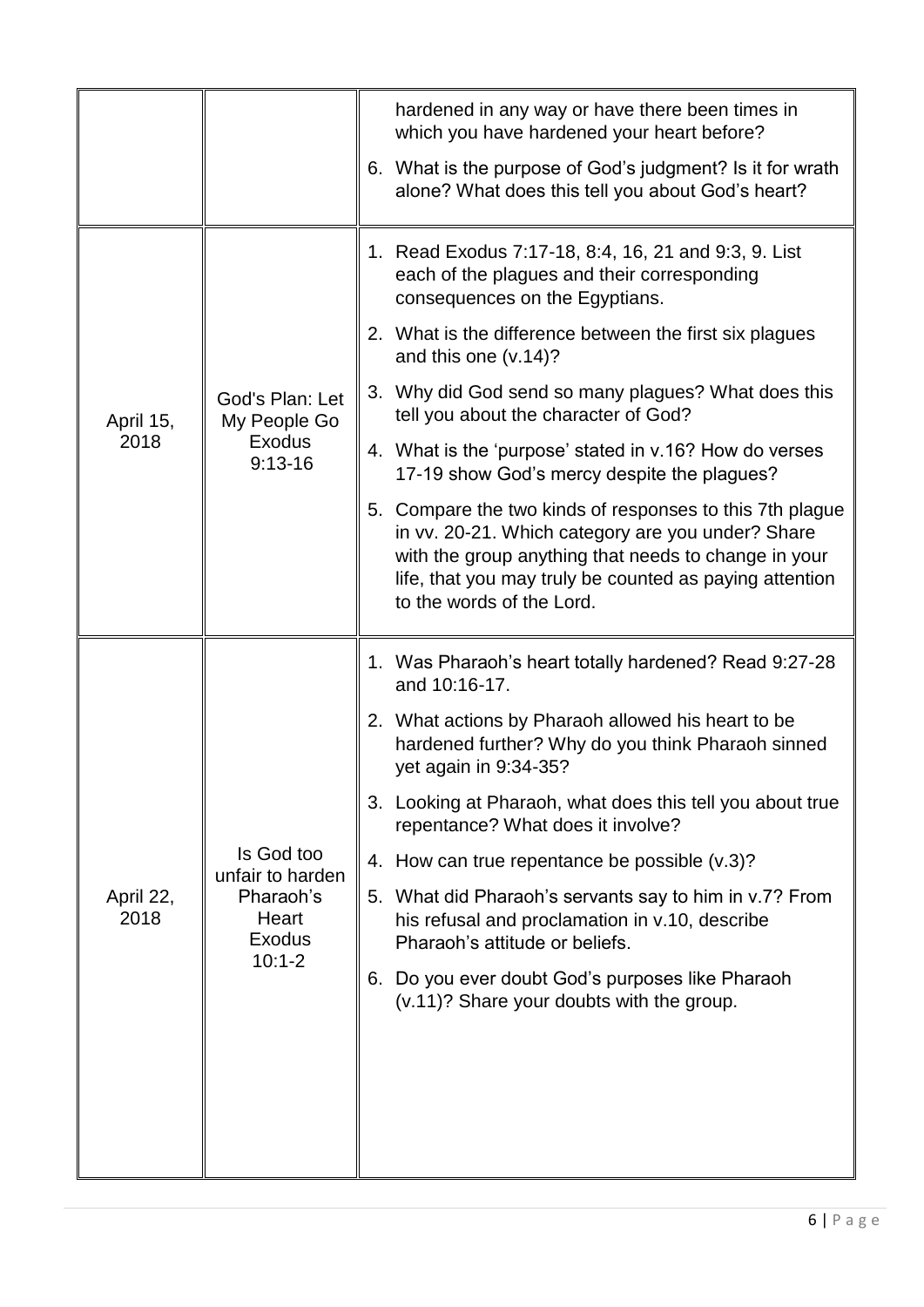|                   |                                                                                     | hardened in any way or have there been times in<br>which you have hardened your heart before?                                                                                                                                                                 |
|-------------------|-------------------------------------------------------------------------------------|---------------------------------------------------------------------------------------------------------------------------------------------------------------------------------------------------------------------------------------------------------------|
|                   |                                                                                     | 6. What is the purpose of God's judgment? Is it for wrath<br>alone? What does this tell you about God's heart?                                                                                                                                                |
|                   | God's Plan: Let<br>My People Go<br><b>Exodus</b><br>$9:13-16$                       | 1. Read Exodus 7:17-18, 8:4, 16, 21 and 9:3, 9. List<br>each of the plagues and their corresponding<br>consequences on the Egyptians.                                                                                                                         |
|                   |                                                                                     | 2. What is the difference between the first six plagues<br>and this one (v.14)?                                                                                                                                                                               |
| April 15,         |                                                                                     | 3. Why did God send so many plagues? What does this<br>tell you about the character of God?                                                                                                                                                                   |
| 2018              |                                                                                     | 4. What is the 'purpose' stated in v.16? How do verses<br>17-19 show God's mercy despite the plagues?                                                                                                                                                         |
|                   |                                                                                     | 5. Compare the two kinds of responses to this 7th plague<br>in vv. 20-21. Which category are you under? Share<br>with the group anything that needs to change in your<br>life, that you may truly be counted as paying attention<br>to the words of the Lord. |
|                   | Is God too<br>unfair to harden<br>Pharaoh's<br>Heart<br><b>Exodus</b><br>$10:1 - 2$ | 1. Was Pharaoh's heart totally hardened? Read 9:27-28<br>and 10:16-17.                                                                                                                                                                                        |
|                   |                                                                                     | 2. What actions by Pharaoh allowed his heart to be<br>hardened further? Why do you think Pharaoh sinned<br>yet again in 9:34-35?                                                                                                                              |
|                   |                                                                                     | 3. Looking at Pharaoh, what does this tell you about true<br>repentance? What does it involve?                                                                                                                                                                |
|                   |                                                                                     | 4. How can true repentance be possible (v.3)?                                                                                                                                                                                                                 |
| April 22,<br>2018 |                                                                                     | 5. What did Pharaoh's servants say to him in v.7? From<br>his refusal and proclamation in v.10, describe<br>Pharaoh's attitude or beliefs.                                                                                                                    |
|                   |                                                                                     | 6. Do you ever doubt God's purposes like Pharaoh<br>(v.11)? Share your doubts with the group.                                                                                                                                                                 |
|                   |                                                                                     |                                                                                                                                                                                                                                                               |
|                   |                                                                                     |                                                                                                                                                                                                                                                               |
|                   |                                                                                     |                                                                                                                                                                                                                                                               |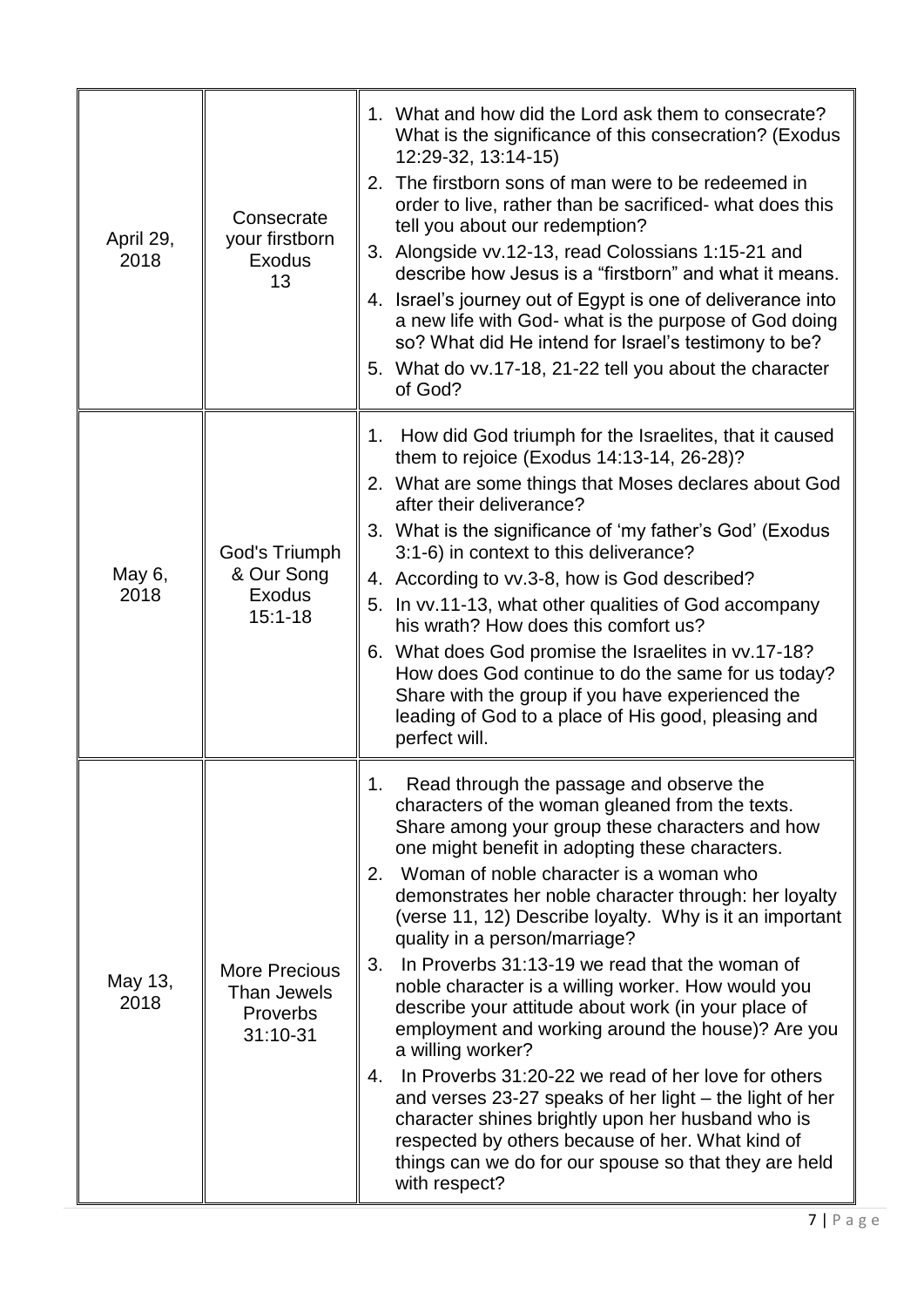| April 29,<br>2018 | Consecrate<br>your firstborn<br><b>Exodus</b><br>13         | 1. What and how did the Lord ask them to consecrate?<br>What is the significance of this consecration? (Exodus<br>12:29-32, 13:14-15)<br>The firstborn sons of man were to be redeemed in<br>2.<br>order to live, rather than be sacrificed- what does this<br>tell you about our redemption?<br>3. Alongside vv.12-13, read Colossians 1:15-21 and<br>describe how Jesus is a "firstborn" and what it means.<br>4. Israel's journey out of Egypt is one of deliverance into<br>a new life with God- what is the purpose of God doing<br>so? What did He intend for Israel's testimony to be?<br>5. What do vv.17-18, 21-22 tell you about the character<br>of God?                                                                                                                                                                                                                                                                                               |
|-------------------|-------------------------------------------------------------|-------------------------------------------------------------------------------------------------------------------------------------------------------------------------------------------------------------------------------------------------------------------------------------------------------------------------------------------------------------------------------------------------------------------------------------------------------------------------------------------------------------------------------------------------------------------------------------------------------------------------------------------------------------------------------------------------------------------------------------------------------------------------------------------------------------------------------------------------------------------------------------------------------------------------------------------------------------------|
| May 6,<br>2018    | God's Triumph<br>& Our Song<br><b>Exodus</b><br>$15:1 - 18$ | How did God triumph for the Israelites, that it caused<br>1.<br>them to rejoice (Exodus 14:13-14, 26-28)?<br>2. What are some things that Moses declares about God<br>after their deliverance?<br>3. What is the significance of 'my father's God' (Exodus<br>3:1-6) in context to this deliverance?<br>4. According to vv.3-8, how is God described?<br>5. In vv.11-13, what other qualities of God accompany<br>his wrath? How does this comfort us?<br>6. What does God promise the Israelites in vv.17-18?<br>How does God continue to do the same for us today?<br>Share with the group if you have experienced the<br>leading of God to a place of His good, pleasing and<br>perfect will.                                                                                                                                                                                                                                                                  |
| May 13,<br>2018   | <b>More Precious</b><br>Than Jewels<br>Proverbs<br>31:10-31 | Read through the passage and observe the<br>characters of the woman gleaned from the texts.<br>Share among your group these characters and how<br>one might benefit in adopting these characters.<br>Woman of noble character is a woman who<br>2.<br>demonstrates her noble character through: her loyalty<br>(verse 11, 12) Describe loyalty. Why is it an important<br>quality in a person/marriage?<br>In Proverbs 31:13-19 we read that the woman of<br>3.<br>noble character is a willing worker. How would you<br>describe your attitude about work (in your place of<br>employment and working around the house)? Are you<br>a willing worker?<br>In Proverbs 31:20-22 we read of her love for others<br>4.<br>and verses 23-27 speaks of her light - the light of her<br>character shines brightly upon her husband who is<br>respected by others because of her. What kind of<br>things can we do for our spouse so that they are held<br>with respect? |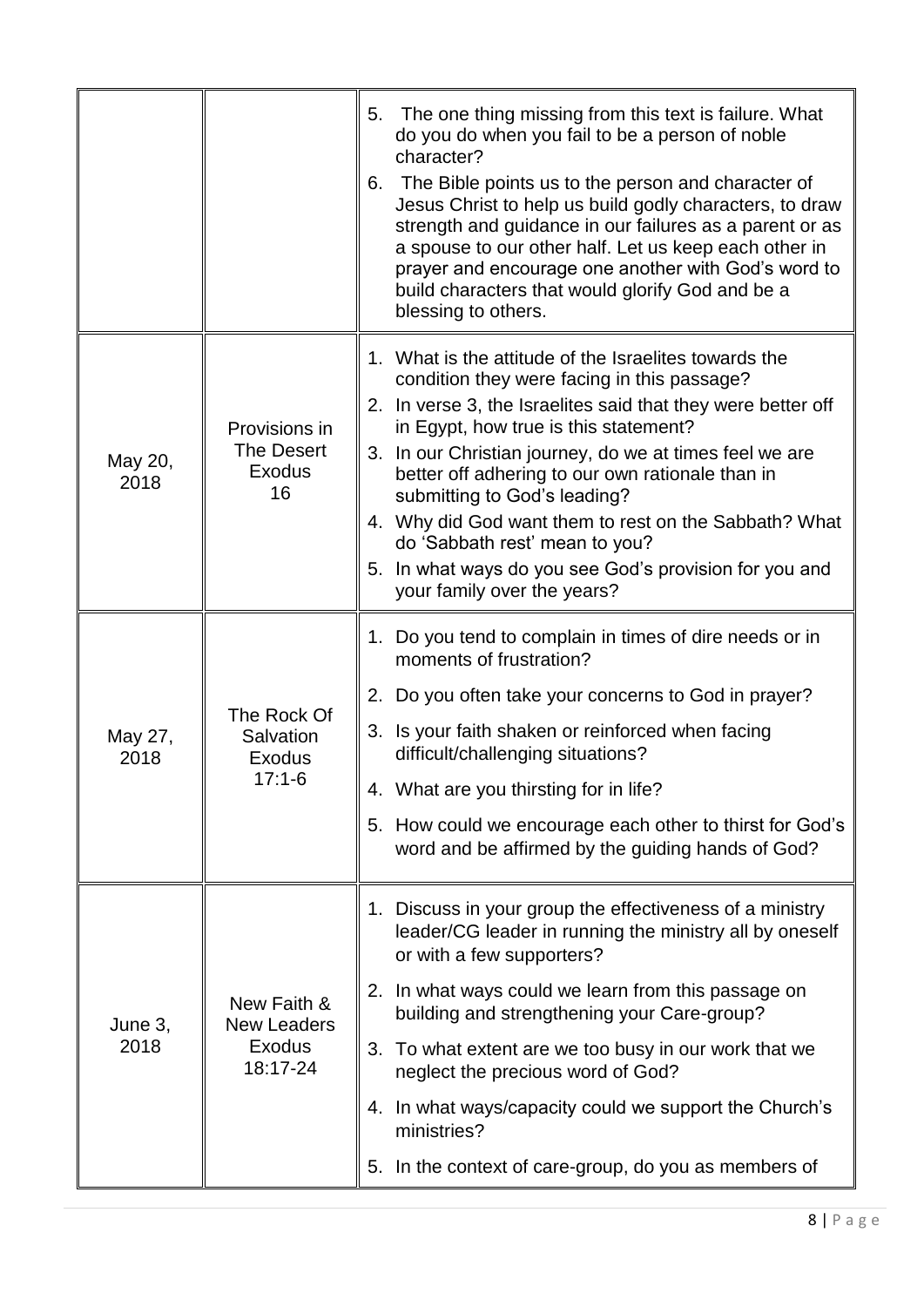|                 |                                                                | The one thing missing from this text is failure. What<br>5.<br>do you do when you fail to be a person of noble<br>character?<br>6. The Bible points us to the person and character of<br>Jesus Christ to help us build godly characters, to draw<br>strength and guidance in our failures as a parent or as<br>a spouse to our other half. Let us keep each other in<br>prayer and encourage one another with God's word to<br>build characters that would glorify God and be a<br>blessing to others.                                           |
|-----------------|----------------------------------------------------------------|--------------------------------------------------------------------------------------------------------------------------------------------------------------------------------------------------------------------------------------------------------------------------------------------------------------------------------------------------------------------------------------------------------------------------------------------------------------------------------------------------------------------------------------------------|
| May 20,<br>2018 | Provisions in<br><b>The Desert</b><br><b>Exodus</b><br>16      | 1. What is the attitude of the Israelites towards the<br>condition they were facing in this passage?<br>2. In verse 3, the Israelites said that they were better off<br>in Egypt, how true is this statement?<br>3. In our Christian journey, do we at times feel we are<br>better off adhering to our own rationale than in<br>submitting to God's leading?<br>4. Why did God want them to rest on the Sabbath? What<br>do 'Sabbath rest' mean to you?<br>5. In what ways do you see God's provision for you and<br>your family over the years? |
| May 27,<br>2018 | The Rock Of<br>Salvation<br><b>Exodus</b><br>$17:1-6$          | 1. Do you tend to complain in times of dire needs or in<br>moments of frustration?<br>2. Do you often take your concerns to God in prayer?<br>3. Is your faith shaken or reinforced when facing<br>difficult/challenging situations?<br>4. What are you thirsting for in life?<br>5. How could we encourage each other to thirst for God's<br>word and be affirmed by the guiding hands of God?                                                                                                                                                  |
| June 3,<br>2018 | New Faith &<br><b>New Leaders</b><br><b>Exodus</b><br>18:17-24 | 1. Discuss in your group the effectiveness of a ministry<br>leader/CG leader in running the ministry all by oneself<br>or with a few supporters?<br>2. In what ways could we learn from this passage on<br>building and strengthening your Care-group?<br>3. To what extent are we too busy in our work that we<br>neglect the precious word of God?<br>4. In what ways/capacity could we support the Church's<br>ministries?<br>5. In the context of care-group, do you as members of                                                           |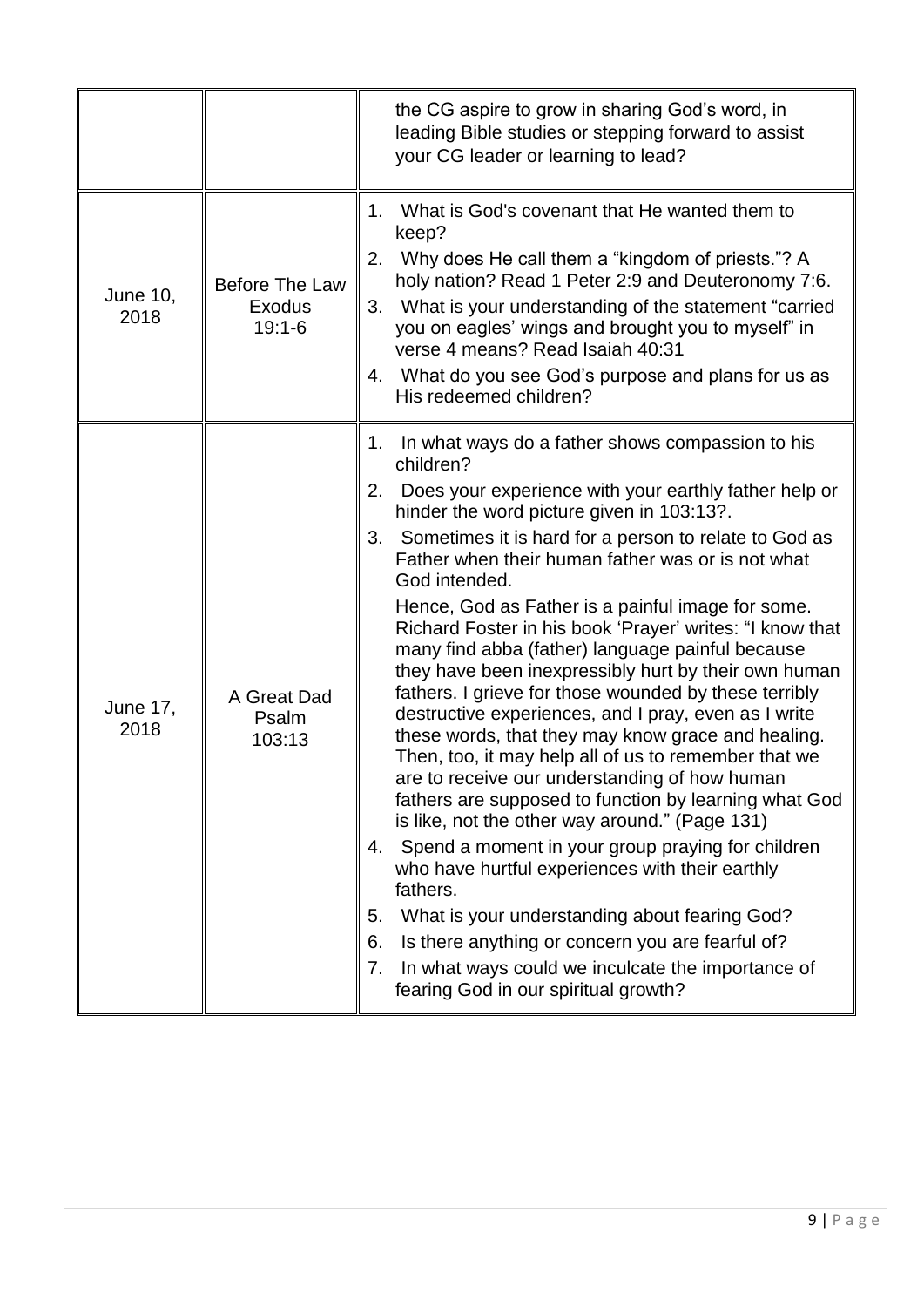|                         |                                      | the CG aspire to grow in sharing God's word, in<br>leading Bible studies or stepping forward to assist<br>your CG leader or learning to lead?                                                                                                                                                                                                                                                                                                                                                                                                                                                                                                                                                                                                                                                                                                                                                                                                                                                                                                                                                                                                                                                                                                                                           |
|-------------------------|--------------------------------------|-----------------------------------------------------------------------------------------------------------------------------------------------------------------------------------------------------------------------------------------------------------------------------------------------------------------------------------------------------------------------------------------------------------------------------------------------------------------------------------------------------------------------------------------------------------------------------------------------------------------------------------------------------------------------------------------------------------------------------------------------------------------------------------------------------------------------------------------------------------------------------------------------------------------------------------------------------------------------------------------------------------------------------------------------------------------------------------------------------------------------------------------------------------------------------------------------------------------------------------------------------------------------------------------|
| <b>June 10.</b><br>2018 | Before The Law<br>Exodus<br>$19:1-6$ | What is God's covenant that He wanted them to<br>1.<br>keep?<br>Why does He call them a "kingdom of priests."? A<br>2.<br>holy nation? Read 1 Peter 2:9 and Deuteronomy 7:6.<br>3. What is your understanding of the statement "carried"<br>you on eagles' wings and brought you to myself" in<br>verse 4 means? Read Isaiah 40:31<br>4. What do you see God's purpose and plans for us as<br>His redeemed children?                                                                                                                                                                                                                                                                                                                                                                                                                                                                                                                                                                                                                                                                                                                                                                                                                                                                    |
| <b>June 17,</b><br>2018 | A Great Dad<br>Psalm<br>103:13       | 1. In what ways do a father shows compassion to his<br>children?<br>Does your experience with your earthly father help or<br>2.<br>hinder the word picture given in 103:13?.<br>Sometimes it is hard for a person to relate to God as<br>3.<br>Father when their human father was or is not what<br>God intended.<br>Hence, God as Father is a painful image for some.<br>Richard Foster in his book 'Prayer' writes: "I know that<br>many find abba (father) language painful because<br>they have been inexpressibly hurt by their own human<br>fathers. I grieve for those wounded by these terribly<br>destructive experiences, and I pray, even as I write<br>these words, that they may know grace and healing.<br>Then, too, it may help all of us to remember that we<br>are to receive our understanding of how human<br>fathers are supposed to function by learning what God<br>is like, not the other way around." (Page 131)<br>Spend a moment in your group praying for children<br>4.<br>who have hurtful experiences with their earthly<br>fathers.<br>What is your understanding about fearing God?<br>5.<br>Is there anything or concern you are fearful of?<br>6.<br>In what ways could we inculcate the importance of<br>7.<br>fearing God in our spiritual growth? |